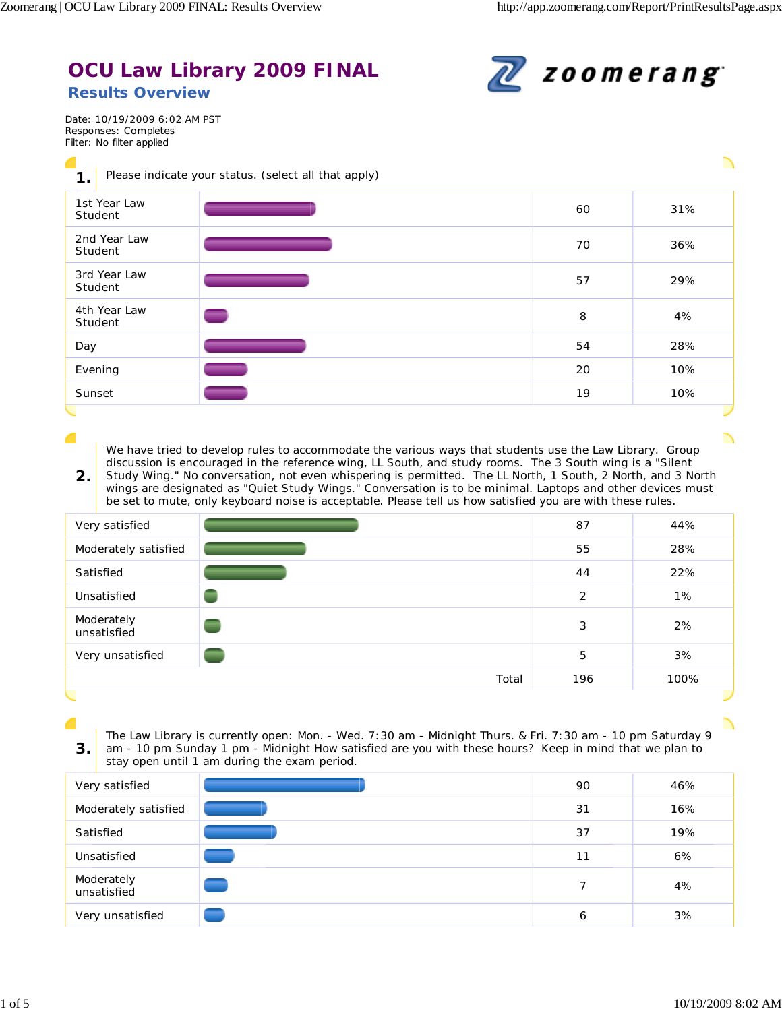## **OCU Law Library 2009 FINAL Results Overview**



Date: 10/19/2009 6:02 AM PST Responses: Completes Filter: No filter applied

c

r

| $\mathbf 1$ .           | Please indicate your status. (select all that apply) |    |     |
|-------------------------|------------------------------------------------------|----|-----|
| 1st Year Law<br>Student |                                                      | 60 | 31% |
| 2nd Year Law<br>Student |                                                      | 70 | 36% |
| 3rd Year Law<br>Student |                                                      | 57 | 29% |
| 4th Year Law<br>Student |                                                      | 8  | 4%  |
| Day                     |                                                      | 54 | 28% |
| Evening                 |                                                      | 20 | 10% |
| Sunset                  |                                                      | 19 | 10% |
|                         |                                                      |    |     |

We have tried to develop rules to accommodate the various ways that students use the Law Library. Group discussion is encouraged in the reference wing, LL South, and study rooms. The 3 South wing is a "Silent Study Wing." No conversation, not even whispering is permitted. The LL North, 1 South, 2 North, and 3 North

**2.** wings are designated as "Quiet Study Wings." Conversation is to be minimal. Laptops and other devices must be set to mute, only keyboard noise is acceptable. Please tell us how satisfied you are with these rules.

| Very satisfied            |       | 87  | 44%  |
|---------------------------|-------|-----|------|
| Moderately satisfied      |       | 55  | 28%  |
| Satisfied                 |       | 44  | 22%  |
| Unsatisfied               |       | 2   | 1%   |
| Moderately<br>unsatisfied |       | 3   | 2%   |
| Very unsatisfied          |       | 5   | 3%   |
|                           | Total | 196 | 100% |

The Law Library is currently open: Mon. - Wed. 7:30 am - Midnight Thurs. & Fri. 7:30 am - 10 pm Saturday 9

am - 10 pm Sunday 1 pm - Midnight How satisfied are you with these hours? Keep in mind that we plan to stay open until 1 am during the exam period.

| Very satisfied            |   | 90 | 46% |
|---------------------------|---|----|-----|
| Moderately satisfied      |   | 31 | 16% |
| Satisfied                 |   | 37 | 19% |
| Unsatisfied               |   | 11 | 6%  |
| Moderately<br>unsatisfied | ÷ | 7  | 4%  |
| Very unsatisfied          |   | 6  | 3%  |

**3.**

╲

╲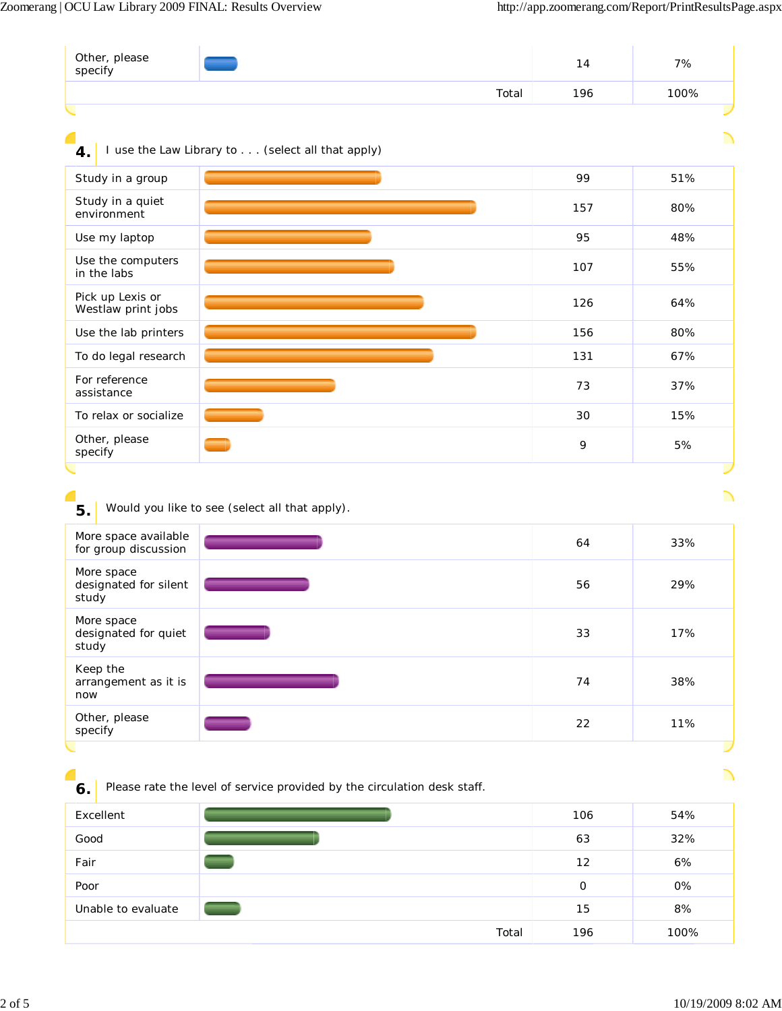| specify                                      |                                                                          | 14          | 7%                             |
|----------------------------------------------|--------------------------------------------------------------------------|-------------|--------------------------------|
|                                              | Total                                                                    | 196         | 100%                           |
|                                              |                                                                          |             |                                |
| 4.                                           | I use the Law Library to (select all that apply)                         |             |                                |
| Study in a group                             |                                                                          | 99          | 51%                            |
| Study in a quiet<br>environment              |                                                                          | 157         | 80%                            |
| Use my laptop                                |                                                                          | 95          | 48%                            |
| Use the computers<br>in the labs             |                                                                          | 107         | 55%                            |
| Pick up Lexis or<br>Westlaw print jobs       |                                                                          | 126         | 64%                            |
| Use the lab printers                         |                                                                          | 156         | 80%                            |
| To do legal research                         |                                                                          | 131         | 67%                            |
| For reference<br>assistance                  |                                                                          | 73          | 37%                            |
| To relax or socialize                        |                                                                          | 30          | 15%                            |
| Other, please<br>specify                     |                                                                          | 9           | 5%                             |
|                                              |                                                                          |             |                                |
| 5.                                           | Would you like to see (select all that apply).                           |             | ╲                              |
| More space available                         |                                                                          |             |                                |
| for group discussion                         |                                                                          | 64          | 33%                            |
| More space<br>designated for silent<br>study |                                                                          | 56          | 29%                            |
| More space<br>designated for quiet<br>study  |                                                                          | 33          | 17%                            |
| Keep the<br>arrangement as it is<br>now      |                                                                          | 74          | 38%                            |
| Other, please<br>specify                     |                                                                          | 22          | 11%                            |
|                                              |                                                                          |             |                                |
| 6.                                           | Please rate the level of service provided by the circulation desk staff. |             |                                |
| Excellent                                    |                                                                          | 106         | 54%                            |
| Good                                         |                                                                          | 63          | 32%                            |
| Fair                                         |                                                                          | 12          | 6%                             |
| Poor                                         |                                                                          | $\mathsf O$ | $\overline{\phantom{a}}$<br>0% |
| Unable to evaluate                           |                                                                          | 15          | 8%                             |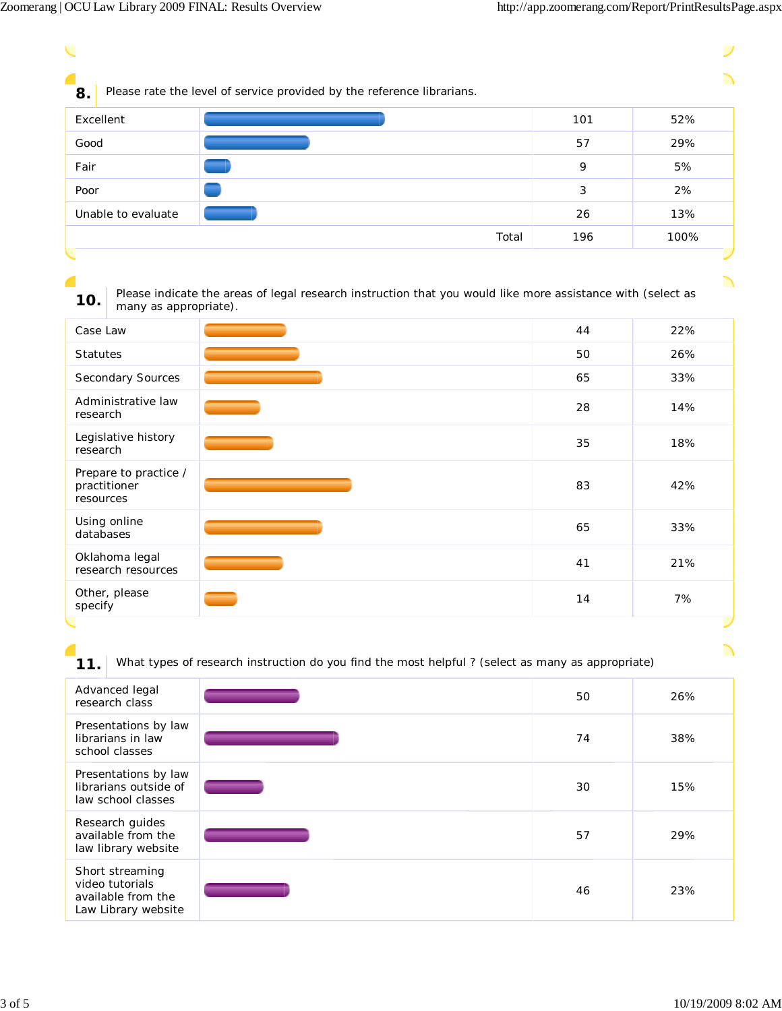$\overline{\phantom{0}}$ 

ノ

| Please rate the level of service provided by the reference librarians.<br>8.                                                                |       |     |      |
|---------------------------------------------------------------------------------------------------------------------------------------------|-------|-----|------|
| Excellent                                                                                                                                   |       | 101 | 52%  |
| Good                                                                                                                                        |       | 57  | 29%  |
| Fair                                                                                                                                        |       | 9   | 5%   |
| Poor                                                                                                                                        |       | 3   | 2%   |
| Unable to evaluate                                                                                                                          |       | 26  | 13%  |
|                                                                                                                                             | Total | 196 | 100% |
|                                                                                                                                             |       |     |      |
|                                                                                                                                             |       |     | ╲    |
| Please indicate the areas of legal research instruction that you would like more assistance with (select as<br>10.<br>many as appropriate). |       |     |      |

| 44 | 22% |
|----|-----|
| 50 | 26% |
| 65 | 33% |
| 28 | 14% |
| 35 | 18% |
| 83 | 42% |
| 65 | 33% |
| 41 | 21% |
| 14 | 7%  |
|    |     |

**11.** What types of research instruction do you find the most helpful ? (select as many as appropriate)

| Advanced legal<br>research class                                                | 50 | 26% |
|---------------------------------------------------------------------------------|----|-----|
| Presentations by law<br>librarians in law<br>school classes                     | 74 | 38% |
| Presentations by law<br>librarians outside of<br>law school classes             | 30 | 15% |
| Research guides<br>available from the<br>law library website                    | 57 | 29% |
| Short streaming<br>video tutorials<br>available from the<br>Law Library website | 46 | 23% |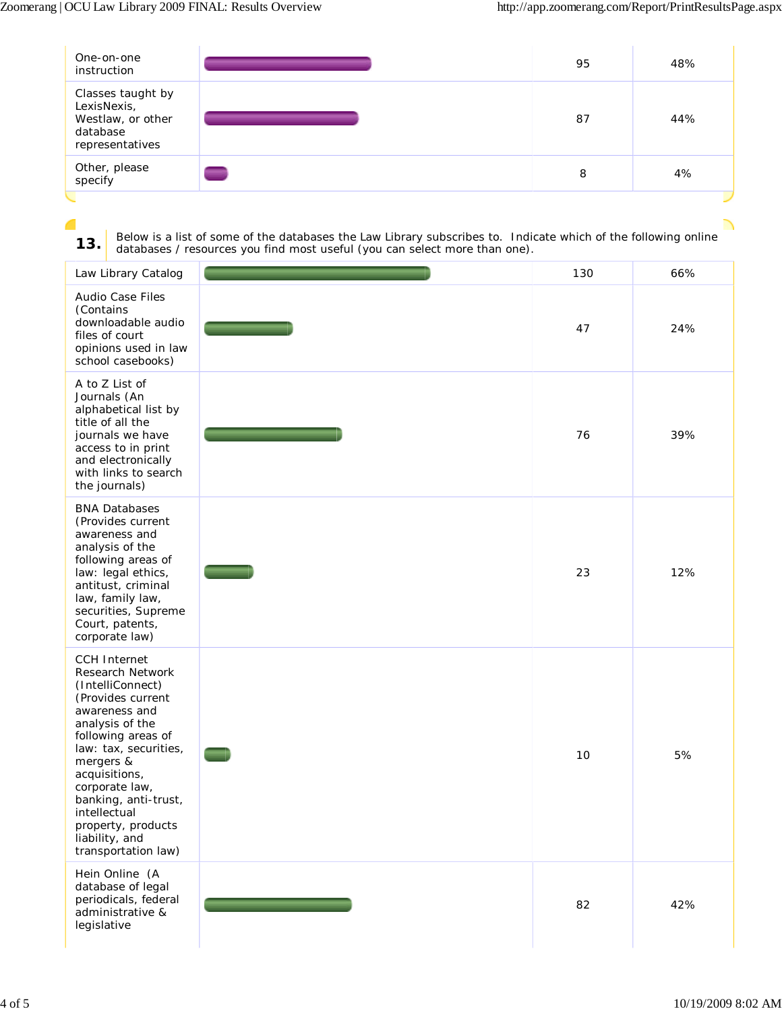╲

| One-on-one<br>instruction                                                            |   | 95 | 48% |
|--------------------------------------------------------------------------------------|---|----|-----|
| Classes taught by<br>LexisNexis,<br>Westlaw, or other<br>database<br>representatives |   | 87 | 44% |
| Other, please<br>specify                                                             | ▬ | 8  | 4%  |

## **CONTRACT 13.** Below is a list of some of the databases the Law Library subscribes to. Indicate which of the following online databases / resources you find most useful (you can select more than one).

| Law Library Catalog                                                                                                                                                                                                                                                                                                        | 130 | 66% |
|----------------------------------------------------------------------------------------------------------------------------------------------------------------------------------------------------------------------------------------------------------------------------------------------------------------------------|-----|-----|
| Audio Case Files<br>(Contains<br>downloadable audio<br>files of court<br>opinions used in law<br>school casebooks)                                                                                                                                                                                                         | 47  | 24% |
| A to Z List of<br>Journals (An<br>alphabetical list by<br>title of all the<br>journals we have<br>access to in print<br>and electronically<br>with links to search<br>the journals)                                                                                                                                        | 76  | 39% |
| <b>BNA Databases</b><br>(Provides current<br>awareness and<br>analysis of the<br>following areas of<br>law: legal ethics,<br>antitust, criminal<br>law, family law,<br>securities, Supreme<br>Court, patents,<br>corporate law)                                                                                            | 23  | 12% |
| <b>CCH Internet</b><br>Research Network<br>(IntelliConnect)<br>(Provides current<br>awareness and<br>analysis of the<br>following areas of<br>law: tax, securities,<br>mergers &<br>acquisitions,<br>corporate law,<br>banking, anti-trust,<br>intellectual<br>property, products<br>liability, and<br>transportation law) | 10  | 5%  |
| Hein Online (A<br>database of legal<br>periodicals, federal<br>administrative &<br>legislative                                                                                                                                                                                                                             | 82  | 42% |